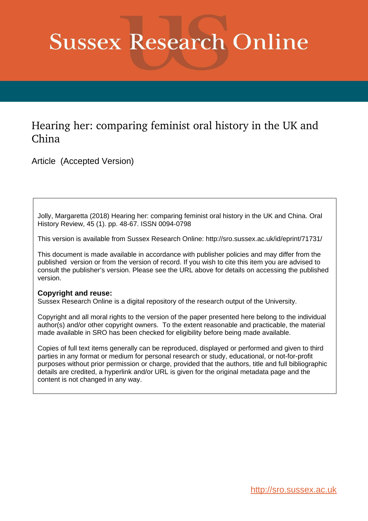# **Sussex Research Online**

## Hearing her: comparing feminist oral history in the UK and China

Article (Accepted Version)

Jolly, Margaretta (2018) Hearing her: comparing feminist oral history in the UK and China. Oral History Review, 45 (1). pp. 48-67. ISSN 0094-0798

This version is available from Sussex Research Online: http://sro.sussex.ac.uk/id/eprint/71731/

This document is made available in accordance with publisher policies and may differ from the published version or from the version of record. If you wish to cite this item you are advised to consult the publisher's version. Please see the URL above for details on accessing the published version.

### **Copyright and reuse:**

Sussex Research Online is a digital repository of the research output of the University.

Copyright and all moral rights to the version of the paper presented here belong to the individual author(s) and/or other copyright owners. To the extent reasonable and practicable, the material made available in SRO has been checked for eligibility before being made available.

Copies of full text items generally can be reproduced, displayed or performed and given to third parties in any format or medium for personal research or study, educational, or not-for-profit purposes without prior permission or charge, provided that the authors, title and full bibliographic details are credited, a hyperlink and/or URL is given for the original metadata page and the content is not changed in any way.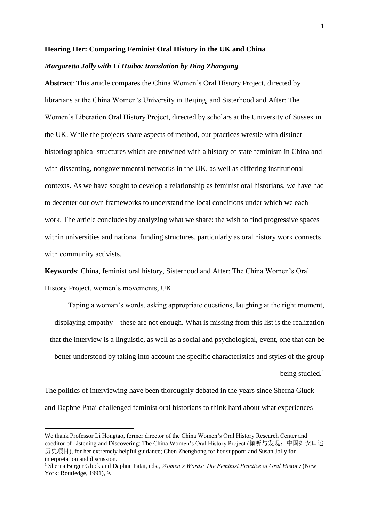#### **Hearing Her: Comparing Feminist Oral History in the UK and China**

#### *Margaretta Jolly with Li Huibo; translation by Ding Zhangang*

**Abstract**: This article compares the China Women's Oral History Project, directed by librarians at the China Women's University in Beijing, and Sisterhood and After: The Women's Liberation Oral History Project, directed by scholars at the University of Sussex in the UK. While the projects share aspects of method, our practices wrestle with distinct historiographical structures which are entwined with a history of state feminism in China and with dissenting, nongovernmental networks in the UK, as well as differing institutional contexts. As we have sought to develop a relationship as feminist oral historians, we have had to decenter our own frameworks to understand the local conditions under which we each work. The article concludes by analyzing what we share: the wish to find progressive spaces within universities and national funding structures, particularly as oral history work connects with community activists.

**Keywords**: China, feminist oral history, Sisterhood and After: The China Women's Oral History Project, women's movements, UK

Taping a woman's words, asking appropriate questions, laughing at the right moment, displaying empathy—these are not enough. What is missing from this list is the realization that the interview is a linguistic, as well as a social and psychological, event, one that can be better understood by taking into account the specific characteristics and styles of the group

being studied. $1$ 

The politics of interviewing have been thoroughly debated in the years since Sherna Gluck and Daphne Patai challenged feminist oral historians to think hard about what experiences

We thank Professor Li Hongtao, former director of the China Women's Oral History Research Center and coeditor of Listening and Discovering: The China Women's Oral History Project (倾听与发现: 中国妇女口述 历史项目), for her extremely helpful guidance; Chen Zhenghong for her support; and Susan Jolly for interpretation and discussion.

<sup>1</sup> Sherna Berger Gluck and Daphne Patai, eds., *Women's Words: The Feminist Practice of Oral History* (New York: Routledge, 1991), 9.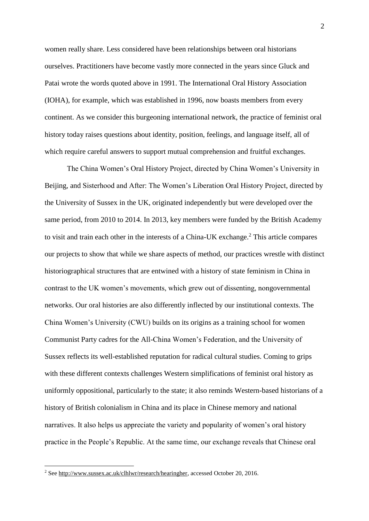women really share. Less considered have been relationships between oral historians ourselves. Practitioners have become vastly more connected in the years since Gluck and Patai wrote the words quoted above in 1991. The International Oral History Association (IOHA), for example, which was established in 1996, now boasts members from every continent. As we consider this burgeoning international network, the practice of feminist oral history today raises questions about identity, position, feelings, and language itself, all of which require careful answers to support mutual comprehension and fruitful exchanges.

The China Women's Oral History Project, directed by China Women's University in Beijing, and Sisterhood and After: The Women's Liberation Oral History Project, directed by the University of Sussex in the UK, originated independently but were developed over the same period, from 2010 to 2014. In 2013, key members were funded by the British Academy to visit and train each other in the interests of a China-UK exchange.<sup>2</sup> This article compares our projects to show that while we share aspects of method, our practices wrestle with distinct historiographical structures that are entwined with a history of state feminism in China in contrast to the UK women's movements, which grew out of dissenting, nongovernmental networks. Our oral histories are also differently inflected by our institutional contexts. The China Women's University (CWU) builds on its origins as a training school for women Communist Party cadres for the All-China Women's Federation, and the University of Sussex reflects its well-established reputation for radical cultural studies. Coming to grips with these different contexts challenges Western simplifications of feminist oral history as uniformly oppositional, particularly to the state; it also reminds Western-based historians of a history of British colonialism in China and its place in Chinese memory and national narratives. It also helps us appreciate the variety and popularity of women's oral history practice in the People's Republic. At the same time, our exchange reveals that Chinese oral

<sup>2</sup> Se[e http://www.sussex.ac.uk/clhlwr/research/hearingher,](http://www.sussex.ac.uk/clhlwr/research/hearingher) accessed October 20, 2016.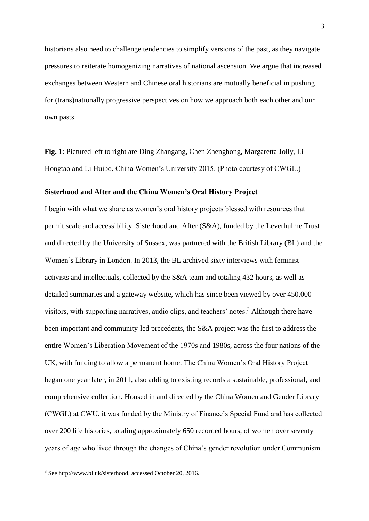historians also need to challenge tendencies to simplify versions of the past, as they navigate pressures to reiterate homogenizing narratives of national ascension. We argue that increased exchanges between Western and Chinese oral historians are mutually beneficial in pushing for (trans)nationally progressive perspectives on how we approach both each other and our own pasts.

**Fig. 1**: Pictured left to right are Ding Zhangang, Chen Zhenghong, Margaretta Jolly, Li Hongtao and Li Huibo, China Women's University 2015. (Photo courtesy of CWGL.)

#### **Sisterhood and After and the China Women's Oral History Project**

I begin with what we share as women's oral history projects blessed with resources that permit scale and accessibility. Sisterhood and After (S&A), funded by the Leverhulme Trust and directed by the University of Sussex, was partnered with the British Library (BL) and the Women's Library in London. In 2013, the BL archived sixty interviews with feminist activists and intellectuals, collected by the S&A team and totaling 432 hours, as well as detailed summaries and a gateway website, which has since been viewed by over 450,000 visitors, with supporting narratives, audio clips, and teachers' notes.<sup>3</sup> Although there have been important and community-led precedents, the S&A project was the first to address the entire Women's Liberation Movement of the 1970s and 1980s, across the four nations of the UK, with funding to allow a permanent home. The China Women's Oral History Project began one year later, in 2011, also adding to existing records a sustainable, professional, and comprehensive collection. Housed in and directed by the China Women and Gender Library (CWGL) at CWU, it was funded by the Ministry of Finance's Special Fund and has collected over 200 life histories, totaling approximately 650 recorded hours, of women over seventy years of age who lived through the changes of China's gender revolution under Communism.

<sup>3</sup> Se[e http://www.bl.uk/sisterhood,](http://www.bl.uk/sisterhood) accessed October 20, 2016.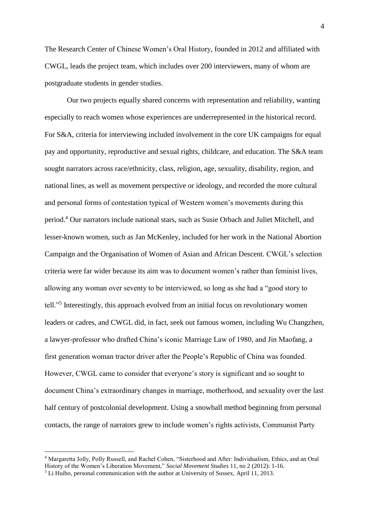The Research Center of Chinese Women's Oral History, founded in 2012 and affiliated with CWGL, leads the project team, which includes over 200 interviewers, many of whom are postgraduate students in gender studies.

Our two projects equally shared concerns with representation and reliability, wanting especially to reach women whose experiences are underrepresented in the historical record. For S&A, criteria for interviewing included involvement in the core UK campaigns for equal pay and opportunity, reproductive and sexual rights, childcare, and education. The S&A team sought narrators across race/ethnicity, class, religion, age, sexuality, disability, region, and national lines, as well as movement perspective or ideology, and recorded the more cultural and personal forms of contestation typical of Western women's movements during this period.<sup>4</sup> Our narrators include national stars, such as Susie Orbach and Juliet Mitchell, and lesser-known women, such as Jan McKenley, included for her work in the National Abortion Campaign and the Organisation of Women of Asian and African Descent. CWGL's selection criteria were far wider because its aim was to document women's rather than feminist lives, allowing any woman over seventy to be interviewed, so long as she had a "good story to tell."<sup>5</sup> Interestingly, this approach evolved from an initial focus on revolutionary women leaders or cadres, and CWGL did, in fact, seek out famous women, including Wu Changzhen, a lawyer-professor who drafted China's iconic Marriage Law of 1980, and Jin Maofang, a first generation woman tractor driver after the People's Republic of China was founded. However, CWGL came to consider that everyone's story is significant and so sought to document China's extraordinary changes in marriage, motherhood, and sexuality over the last half century of postcolonial development. Using a snowball method beginning from personal contacts, the range of narrators grew to include women's rights activists, Communist Party

<sup>4</sup> Margaretta Jolly, Polly Russell, and Rachel Cohen, "Sisterhood and After: Individualism, Ethics, and an Oral History of the Women's Liberation Movement," *Social Movement Studies* 11, no 2 (2012): 1-16.

<sup>5</sup> Li Huibo, personal communication with the author at University of Sussex, April 11, 2013.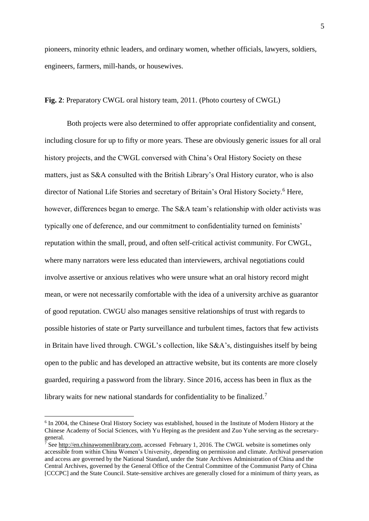pioneers, minority ethnic leaders, and ordinary women, whether officials, lawyers, soldiers, engineers, farmers, mill-hands, or housewives.

**Fig. 2**: Preparatory CWGL oral history team, 2011. (Photo courtesy of CWGL)

Both projects were also determined to offer appropriate confidentiality and consent, including closure for up to fifty or more years. These are obviously generic issues for all oral history projects, and the CWGL conversed with China's Oral History Society on these matters, just as S&A consulted with the British Library's Oral History curator, who is also director of National Life Stories and secretary of Britain's Oral History Society.<sup>6</sup> Here, however, differences began to emerge. The S&A team's relationship with older activists was typically one of deference, and our commitment to confidentiality turned on feminists' reputation within the small, proud, and often self-critical activist community. For CWGL, where many narrators were less educated than interviewers, archival negotiations could involve assertive or anxious relatives who were unsure what an oral history record might mean, or were not necessarily comfortable with the idea of a university archive as guarantor of good reputation. CWGU also manages sensitive relationships of trust with regards to possible histories of state or Party surveillance and turbulent times, factors that few activists in Britain have lived through. CWGL's collection, like S&A's, distinguishes itself by being open to the public and has developed an attractive website, but its contents are more closely guarded, requiring a password from the library. Since 2016, access has been in flux as the library waits for new national standards for confidentiality to be finalized.<sup>7</sup>

<sup>&</sup>lt;sup>6</sup> In 2004, the Chinese Oral History Society was established, housed in the Institute of Modern History at the Chinese Academy of Social Sciences, with Yu Heping as the president and Zuo Yuhe serving as the secretarygeneral.

Se[e http://en.chinawomenlibrary.com,](http://en.chinawomenlibrary.com/) accessed February 1, 2016. The CWGL website is sometimes only accessible from within China Women's University, depending on permission and climate. Archival preservation and access are governed by the National Standard, under the State Archives Administration of China and the Central Archives, governed by the General Office of the Central Committee of the Communist Party of China [CCCPC] and the State Council. State-sensitive archives are generally closed for a minimum of thirty years, as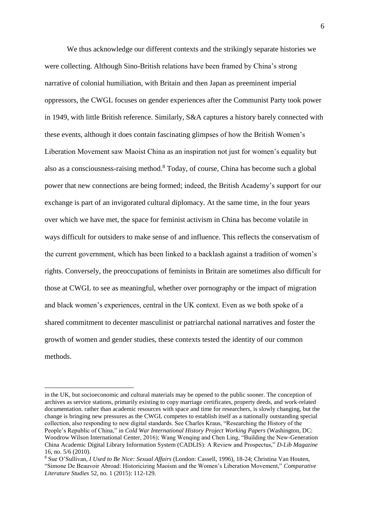We thus acknowledge our different contexts and the strikingly separate histories we were collecting. Although Sino-British relations have been framed by China's strong narrative of colonial humiliation, with Britain and then Japan as preeminent imperial oppressors, the CWGL focuses on gender experiences after the Communist Party took power in 1949, with little British reference. Similarly, S&A captures a history barely connected with these events, although it does contain fascinating glimpses of how the British Women's Liberation Movement saw Maoist China as an inspiration not just for women's equality but also as a consciousness-raising method.<sup>8</sup> Today, of course, China has become such a global power that new connections are being formed; indeed, the British Academy's support for our exchange is part of an invigorated cultural diplomacy. At the same time, in the four years over which we have met, the space for feminist activism in China has become volatile in ways difficult for outsiders to make sense of and influence. This reflects the conservatism of the current government, which has been linked to a backlash against a tradition of women's rights. Conversely, the preoccupations of feminists in Britain are sometimes also difficult for those at CWGL to see as meaningful, whether over pornography or the impact of migration and black women's experiences, central in the UK context. Even as we both spoke of a shared commitment to decenter masculinist or patriarchal national narratives and foster the growth of women and gender studies, these contexts tested the identity of our common methods.

in the UK, but socioeconomic and cultural materials may be opened to the public sooner. The conception of archives as service stations, primarily existing to copy marriage certificates, property deeds, and work-related documentation. rather than academic resources with space and time for researchers, is slowly changing, but the change is bringing new pressures as the CWGL competes to establish itself as a nationally outstanding special collection, also responding to new digital standards. See Charles Kraus, "Researching the History of the People's Republic of China," in *Cold War International History Project Working Papers* (Washington, DC: Woodrow Wilson International Center, 2016); Wang Wenqing and Chen Ling, "Building the New-Generation China Academic Digital Library Information System (CADLIS): A Review and Prospectus," *D-Lib Magazine* 16, no. 5/6 (2010).

<sup>8</sup> Sue O'Sullivan, *I Used to Be Nice: Sexual Affairs* (London: Cassell, 1996), 18-24; Christina Van Houten, "Simone De Beauvoir Abroad: Historicizing Maoism and the Women's Liberation Movement," *Comparative Literature Studies* 52, no. 1 (2015): 112-129.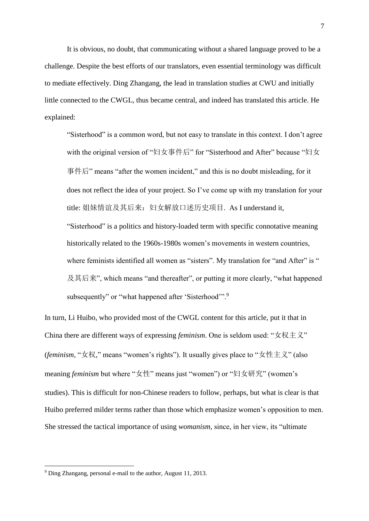It is obvious, no doubt, that communicating without a shared language proved to be a challenge. Despite the best efforts of our translators, even essential terminology was difficult to mediate effectively. Ding Zhangang, the lead in translation studies at CWU and initially little connected to the CWGL, thus became central, and indeed has translated this article. He explained:

"Sisterhood" is a common word, but not easy to translate in this context. I don't agree with the original version of "妇女事件后" for "Sisterhood and After" because "妇女 事件后" means "after the women incident," and this is no doubt misleading, for it does not reflect the idea of your project. So I've come up with my translation for your title: 姐妹情谊及其后来:妇女解放口述历史项目. As I understand it, "Sisterhood" is a politics and history-loaded term with specific connotative meaning historically related to the 1960s-1980s women's movements in western countries, where feminists identified all women as "sisters". My translation for "and After" is " 及其后来", which means "and thereafter", or putting it more clearly, "what happened subsequently" or "what happened after 'Sisterhood'".<sup>9</sup>

In turn, Li Huibo, who provided most of the CWGL content for this article, put it that in China there are different ways of expressing *feminism*. One is seldom used: "女权主义" (*feminism*, "女权," means "women's rights"). It usually gives place to "女性主义" (also meaning *feminism* but where "女性" means just "women") or "妇女研究" (women's studies). This is difficult for non-Chinese readers to follow, perhaps, but what is clear is that Huibo preferred milder terms rather than those which emphasize women's opposition to men. She stressed the tactical importance of using *womanism*, since, in her view, its "ultimate

<sup>9</sup> Ding Zhangang, personal e-mail to the author, August 11, 2013.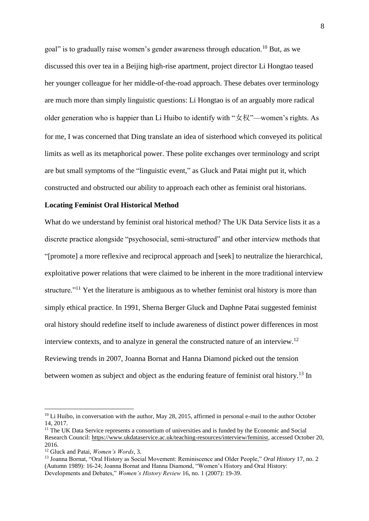goal" is to gradually raise women's gender awareness through education.<sup>10</sup> But, as we discussed this over tea in a Beijing high-rise apartment, project director Li Hongtao teased her younger colleague for her middle-of-the-road approach. These debates over terminology are much more than simply linguistic questions: Li Hongtao is of an arguably more radical older generation who is happier than Li Huibo to identify with "女权"—women's rights. As for me, I was concerned that Ding translate an idea of sisterhood which conveyed its political limits as well as its metaphorical power. These polite exchanges over terminology and script are but small symptoms of the "linguistic event," as Gluck and Patai might put it, which constructed and obstructed our ability to approach each other as feminist oral historians.

#### **Locating Feminist Oral Historical Method**

What do we understand by feminist oral historical method? The UK Data Service lists it as a discrete practice alongside "psychosocial, semi-structured" and other interview methods that "[promote] a more reflexive and reciprocal approach and [seek] to neutralize the hierarchical, exploitative power relations that were claimed to be inherent in the more traditional interview structure."<sup>11</sup> Yet the literature is ambiguous as to whether feminist oral history is more than simply ethical practice. In 1991, Sherna Berger Gluck and Daphne Patai suggested feminist oral history should redefine itself to include awareness of distinct power differences in most interview contexts, and to analyze in general the constructed nature of an interview.<sup>12</sup> Reviewing trends in 2007, Joanna Bornat and Hanna Diamond picked out the tension between women as subject and object as the enduring feature of feminist oral history.<sup>13</sup> In

<sup>&</sup>lt;sup>10</sup> Li Huibo, in conversation with the author, May 28, 2015, affirmed in personal e-mail to the author October 14, 2017.

<sup>&</sup>lt;sup>11</sup> The UK Data Service represents a consortium of universities and is funded by the Economic and Social Research Council: [https://www.ukdataservice.ac.uk/teaching-resources/interview/feminist,](https://www.ukdataservice.ac.uk/teaching-resources/interview/feminist) accessed October 20, 2016.

<sup>12</sup> Gluck and Patai, *Women's Words*, 3.

<sup>13</sup> Joanna Bornat, "Oral History as Social Movement: Reminiscence and Older People," *Oral History* 17, no. 2 (Autumn 1989): 16-24; Joanna Bornat and Hanna Diamond, "Women's History and Oral History: Developments and Debates," *Women's History Review* 16, no. 1 (2007): 19-39.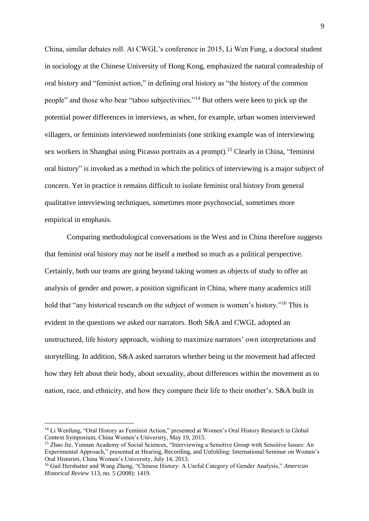China, similar debates roll. At CWGL's conference in 2015, Li Wen Fung, a doctoral student in sociology at the Chinese University of Hong Kong, emphasized the natural comradeship of oral history and "feminist action," in defining oral history as "the history of the common people" and those who bear "taboo subjectivities."<sup>14</sup> But others were keen to pick up the potential power differences in interviews, as when, for example, urban women interviewed villagers, or feminists interviewed nonfeminists (one striking example was of interviewing sex workers in Shanghai using Picasso portraits as a prompt).<sup>15</sup> Clearly in China, "feminist oral history" is invoked as a method in which the politics of interviewing is a major subject of concern. Yet in practice it remains difficult to isolate feminist oral history from general qualitative interviewing techniques, sometimes more psychosocial, sometimes more empirical in emphasis.

Comparing methodological conversations in the West and in China therefore suggests that feminist oral history may *not* be itself a method so much as a political perspective. Certainly, both our teams are going beyond taking women as objects of study to offer an analysis of gender and power, a position significant in China, where many academics still hold that "any historical research on the subject of women is women's history."<sup>16</sup> This is evident in the questions we asked our narrators. Both S&A and CWGL adopted an unstructured, life history approach, wishing to maximize narrators' own interpretations and storytelling. In addition, S&A asked narrators whether being in the movement had affected how they felt about their body, about sexuality, about differences within the movement as to nation, race, and ethnicity, and how they compare their life to their mother's. S&A built in

<sup>&</sup>lt;sup>14</sup> Li Wenfung, "Oral History as Feminist Action," presented at Women's Oral History Research in Global Context Symposium, China Women's University, May 19, 2015.

<sup>&</sup>lt;sup>15</sup> Zhao Jie, Yunnan Academy of Social Sciences, "Interviewing a Sensitive Group with Sensitive Issues: An Experimental Approach," presented at Hearing, Recording, and Unfolding: International Seminar on Women's Oral Histories, China Women's University, July 14, 2013.

<sup>16</sup> Gail Hershatter and Wang Zheng, "Chinese History: A Useful Category of Gender Analysis," *American Historical Review* 113, no. 5 (2008): 1419.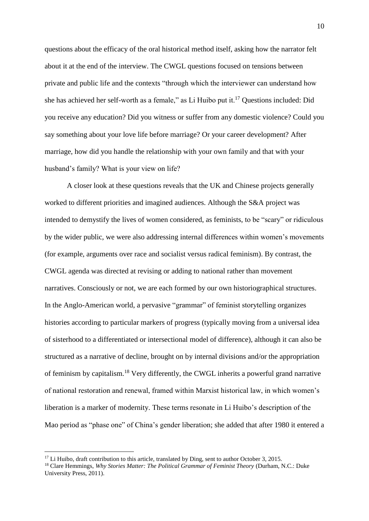questions about the efficacy of the oral historical method itself, asking how the narrator felt about it at the end of the interview. The CWGL questions focused on tensions between private and public life and the contexts "through which the interviewer can understand how she has achieved her self-worth as a female," as Li Huibo put it.<sup>17</sup> Questions included: Did you receive any education? Did you witness or suffer from any domestic violence? Could you say something about your love life before marriage? Or your career development? After marriage, how did you handle the relationship with your own family and that with your husband's family? What is your view on life?

A closer look at these questions reveals that the UK and Chinese projects generally worked to different priorities and imagined audiences. Although the S&A project was intended to demystify the lives of women considered, as feminists, to be "scary" or ridiculous by the wider public, we were also addressing internal differences within women's movements (for example, arguments over race and socialist versus radical feminism). By contrast, the CWGL agenda was directed at revising or adding to national rather than movement narratives. Consciously or not, we are each formed by our own historiographical structures. In the Anglo-American world, a pervasive "grammar" of feminist storytelling organizes histories according to particular markers of progress (typically moving from a universal idea of sisterhood to a differentiated or intersectional model of difference), although it can also be structured as a narrative of decline, brought on by internal divisions and/or the appropriation of feminism by capitalism.<sup>18</sup> Very differently, the CWGL inherits a powerful grand narrative of national restoration and renewal, framed within Marxist historical law, in which women's liberation is a marker of modernity. These terms resonate in Li Huibo's description of the Mao period as "phase one" of China's gender liberation; she added that after 1980 it entered a

<sup>&</sup>lt;sup>17</sup> Li Huibo, draft contribution to this article, translated by Ding, sent to author October 3, 2015.

<sup>&</sup>lt;sup>18</sup> Clare Hemmings, *Why Stories Matter: The Political Grammar of Feminist Theory* (Durham, N.C.: Duke University Press, 2011).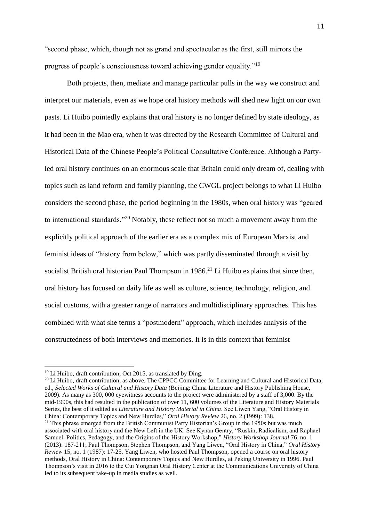"second phase, which, though not as grand and spectacular as the first, still mirrors the progress of people's consciousness toward achieving gender equality."<sup>19</sup>

Both projects, then, mediate and manage particular pulls in the way we construct and interpret our materials, even as we hope oral history methods will shed new light on our own pasts. Li Huibo pointedly explains that oral history is no longer defined by state ideology, as it had been in the Mao era, when it was directed by the Research Committee of Cultural and Historical Data of the Chinese People's Political Consultative Conference. Although a Partyled oral history continues on an enormous scale that Britain could only dream of, dealing with topics such as land reform and family planning, the CWGL project belongs to what Li Huibo considers the second phase, the period beginning in the 1980s, when oral history was "geared to international standards."<sup>20</sup> Notably, these reflect not so much a movement away from the explicitly political approach of the earlier era as a complex mix of European Marxist and feminist ideas of "history from below," which was partly disseminated through a visit by socialist British oral historian Paul Thompson in 1986.<sup>21</sup> Li Huibo explains that since then, oral history has focused on daily life as well as culture, science, technology, religion, and social customs, with a greater range of narrators and multidisciplinary approaches. This has combined with what she terms a "postmodern" approach, which includes analysis of the constructedness of both interviews and memories. It is in this context that feminist

<u>.</u>

<sup>20</sup> Li Huibo, draft contribution, as above. The CPPCC Committee for Learning and Cultural and Historical Data, ed., *Selected Works of Cultural and History Data* (Beijing: China Literature and History Publishing House, 2009). As many as 300, 000 eyewitness accounts to the project were administered by a staff of 3,000. By the mid-1990s, this had resulted in the publication of over 11, 600 volumes of the Literature and History Materials Series, the best of it edited as *Literature and History Material in China*. See Liwen Yang, "Oral History in China: Contemporary Topics and New Hurdles," *Oral History Review* 26, no. 2 (1999): 138.

<sup>19</sup> Li Huibo, draft contribution, Oct 2015, as translated by Ding.

 $21$  This phrase emerged from the British Communist Party Historian's Group in the 1950s but was much associated with oral history and the New Left in the UK. See Kynan Gentry, "Ruskin, Radicalism, and Raphael Samuel: Politics, Pedagogy, and the Origins of the History Workshop," *History Workshop Journal* 76, no. 1 (2013): 187-211; Paul Thompson, Stephen Thompson, and Yang Liwen, "Oral History in China," *Oral History Review* 15, no. 1 (1987): 17-25. Yang Liwen, who hosted Paul Thompson, opened a course on oral history methods, Oral History in China: Contemporary Topics and New Hurdles, at Peking University in 1996. Paul Thompson's visit in 2016 to the Cui Yongnan Oral History Center at the Communications University of China led to its subsequent take-up in media studies as well.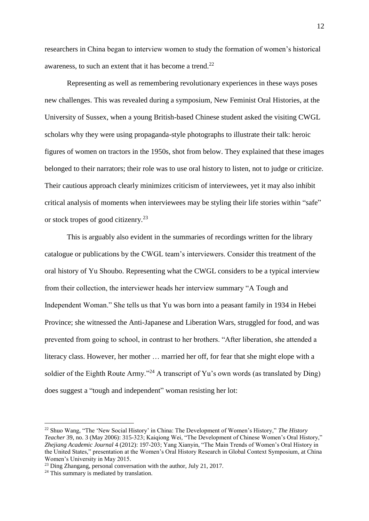researchers in China began to interview women to study the formation of women's historical awareness, to such an extent that it has become a trend.<sup>22</sup>

Representing as well as remembering revolutionary experiences in these ways poses new challenges. This was revealed during a symposium, New Feminist Oral Histories, at the University of Sussex, when a young British-based Chinese student asked the visiting CWGL scholars why they were using propaganda-style photographs to illustrate their talk: heroic figures of women on tractors in the 1950s, shot from below. They explained that these images belonged to their narrators; their role was to use oral history to listen, not to judge or criticize. Their cautious approach clearly minimizes criticism of interviewees, yet it may also inhibit critical analysis of moments when interviewees may be styling their life stories within "safe" or stock tropes of good citizenry.<sup>23</sup>

This is arguably also evident in the summaries of recordings written for the library catalogue or publications by the CWGL team's interviewers. Consider this treatment of the oral history of Yu Shoubo. Representing what the CWGL considers to be a typical interview from their collection, the interviewer heads her interview summary "A Tough and Independent Woman." She tells us that Yu was born into a peasant family in 1934 in Hebei Province; she witnessed the Anti-Japanese and Liberation Wars, struggled for food, and was prevented from going to school, in contrast to her brothers. "After liberation, she attended a literacy class. However, her mother … married her off, for fear that she might elope with a soldier of the Eighth Route Army."<sup>24</sup> A transcript of Yu's own words (as translated by Ding) does suggest a "tough and independent" woman resisting her lot:

<sup>22</sup> Shuo Wang, "The 'New Social History' in China: The Development of Women's History," *The History Teacher* 39, no. 3 (May 2006): 315-323; Kaiqiong Wei, "The Development of Chinese Women's Oral History," *Zhejiang Academic Journal* 4 (2012): 197-203; Yang Xianyin, "The Main Trends of Women's Oral History in the United States," presentation at the Women's Oral History Research in Global Context Symposium, at China Women's University in May 2015.

 $^{23}$  Ding Zhangang, personal conversation with the author, July 21, 2017.

<sup>&</sup>lt;sup>24</sup> This summary is mediated by translation.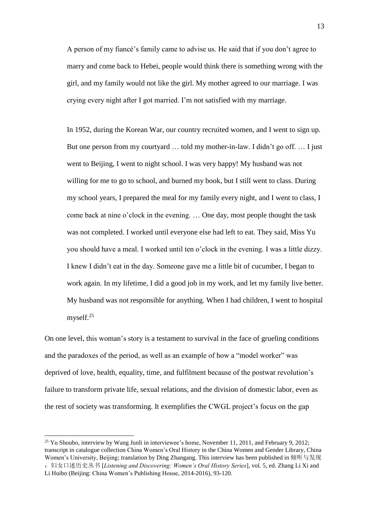A person of my fiancé's family came to advise us. He said that if you don't agree to marry and come back to Hebei, people would think there is something wrong with the girl, and my family would not like the girl. My mother agreed to our marriage. I was crying every night after I got married. I'm not satisfied with my marriage.

In 1952, during the Korean War, our country recruited women, and I went to sign up. But one person from my courtyard … told my mother-in-law. I didn't go off. … I just went to Beijing, I went to night school. I was very happy! My husband was not willing for me to go to school, and burned my book, but I still went to class. During my school years, I prepared the meal for my family every night, and I went to class, I come back at nine o'clock in the evening. … One day, most people thought the task was not completed. I worked until everyone else had left to eat. They said, Miss Yu you should have a meal. I worked until ten o'clock in the evening. I was a little dizzy. I knew I didn't eat in the day. Someone gave me a little bit of cucumber, I began to work again. In my lifetime, I did a good job in my work, and let my family live better. My husband was not responsible for anything. When I had children, I went to hospital myself. $25$ 

On one level, this woman's story is a testament to survival in the face of grueling conditions and the paradoxes of the period, as well as an example of how a "model worker" was deprived of love, health, equality, time, and fulfilment because of the postwar revolution's failure to transform private life, sexual relations, and the division of domestic labor, even as the rest of society was transforming. It exemplifies the CWGL project's focus on the gap

<sup>&</sup>lt;sup>25</sup> Yu Shoubo, interview by Wang Junli in interviewee's home, November 11, 2011, and February 9, 2012; transcript in catalogue collection China Women's Oral History in the China Women and Gender Library, China Women's University, Beijing; translation by Ding Zhangang. This interview has been published in 倾听与发现 :妇女口述历史丛书 [*Listening and Discovering: Women's Oral History Series*], vol. 5, ed. Zhang Li Xi and Li Huibo (Beijing: China Women's Publishing House, 2014-2016), 93-120.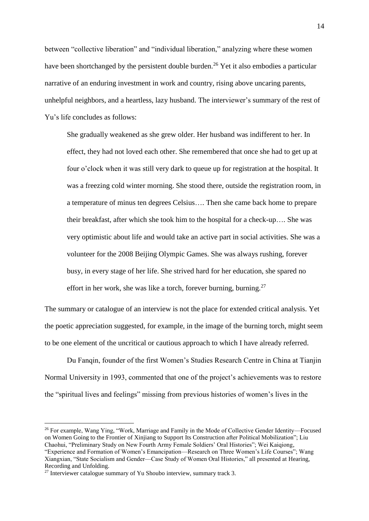between "collective liberation" and "individual liberation," analyzing where these women have been shortchanged by the persistent double burden.<sup>26</sup> Yet it also embodies a particular narrative of an enduring investment in work and country, rising above uncaring parents, unhelpful neighbors, and a heartless, lazy husband. The interviewer's summary of the rest of Yu's life concludes as follows:

She gradually weakened as she grew older. Her husband was indifferent to her. In effect, they had not loved each other. She remembered that once she had to get up at four o'clock when it was still very dark to queue up for registration at the hospital. It was a freezing cold winter morning. She stood there, outside the registration room, in a temperature of minus ten degrees Celsius…. Then she came back home to prepare their breakfast, after which she took him to the hospital for a check-up…. She was very optimistic about life and would take an active part in social activities. She was a volunteer for the 2008 Beijing Olympic Games. She was always rushing, forever busy, in every stage of her life. She strived hard for her education, she spared no effort in her work, she was like a torch, forever burning, burning.<sup>27</sup>

The summary or catalogue of an interview is not the place for extended critical analysis. Yet the poetic appreciation suggested, for example, in the image of the burning torch, might seem to be one element of the uncritical or cautious approach to which I have already referred.

Du Fanqin, founder of the first Women's Studies Research Centre in China at Tianjin Normal University in 1993, commented that one of the project's achievements was to restore the "spiritual lives and feelings" missing from previous histories of women's lives in the

<sup>&</sup>lt;sup>26</sup> For example, Wang Ying, "Work, Marriage and Family in the Mode of Collective Gender Identity—Focused on Women Going to the Frontier of Xinjiang to Support Its Construction after Political Mobilization"; Liu Chaohui, "Preliminary Study on New Fourth Army Female Soldiers' Oral Histories"; Wei Kaiqiong, "Experience and Formation of Women's Emancipation—Research on Three Women's Life Courses"; Wang Xiangxian, "State Socialism and Gender—Case Study of Women Oral Histories," all presented at Hearing, Recording and Unfolding.

 $27$  Interviewer catalogue summary of Yu Shoubo interview, summary track 3.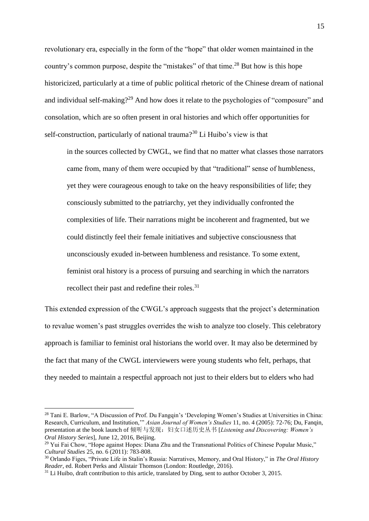revolutionary era, especially in the form of the "hope" that older women maintained in the country's common purpose, despite the "mistakes" of that time.<sup>28</sup> But how is this hope historicized, particularly at a time of public political rhetoric of the Chinese dream of national and individual self-making?<sup>29</sup> And how does it relate to the psychologies of "composure" and consolation, which are so often present in oral histories and which offer opportunities for self-construction, particularly of national trauma?<sup>30</sup> Li Huibo's view is that

in the sources collected by CWGL, we find that no matter what classes those narrators came from, many of them were occupied by that "traditional" sense of humbleness, yet they were courageous enough to take on the heavy responsibilities of life; they consciously submitted to the patriarchy, yet they individually confronted the complexities of life. Their narrations might be incoherent and fragmented, but we could distinctly feel their female initiatives and subjective consciousness that unconsciously exuded in-between humbleness and resistance. To some extent, feminist oral history is a process of pursuing and searching in which the narrators recollect their past and redefine their roles.<sup>31</sup>

This extended expression of the CWGL's approach suggests that the project's determination to revalue women's past struggles overrides the wish to analyze too closely. This celebratory approach is familiar to feminist oral historians the world over. It may also be determined by the fact that many of the CWGL interviewers were young students who felt, perhaps, that they needed to maintain a respectful approach not just to their elders but to elders who had

<sup>28</sup> Tani E. Barlow, "A Discussion of Prof. Du Fangqin's 'Developing Women's Studies at Universities in China: Research, Curriculum, and Institution,'" *Asian Journal of Women's Studies* 11, no. 4 (2005): 72-76; Du, Fanqin, presentation at the book launch of 倾听与发现:妇女口述历史丛书 [*Listening and Discovering: Women's Oral History Series*], June 12, 2016, Beijing.

<sup>&</sup>lt;sup>29</sup> Yui Fai Chow, "Hope against Hopes: Diana Zhu and the Transnational Politics of Chinese Popular Music," *Cultural Studies* 25, no. 6 (2011): 783-808.

<sup>30</sup> Orlando Figes, "Private Life in Stalin's Russia: Narratives, Memory, and Oral History," in *The Oral History Reader*, ed. Robert Perks and Alistair Thomson (London: Routledge, 2016).

 $31$  Li Huibo, draft contribution to this article, translated by Ding, sent to author October 3, 2015.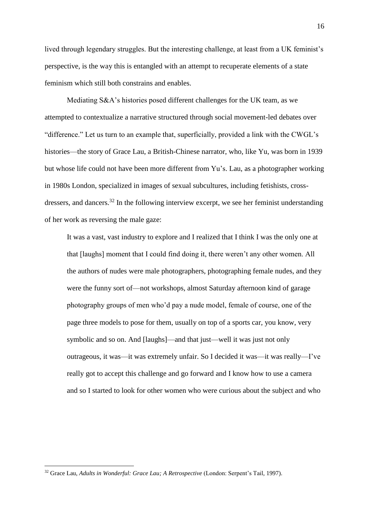lived through legendary struggles. But the interesting challenge, at least from a UK feminist's perspective, is the way this is entangled with an attempt to recuperate elements of a state feminism which still both constrains and enables.

Mediating S&A's histories posed different challenges for the UK team, as we attempted to contextualize a narrative structured through social movement-led debates over "difference." Let us turn to an example that, superficially, provided a link with the CWGL's histories—the story of Grace Lau, a British-Chinese narrator, who, like Yu, was born in 1939 but whose life could not have been more different from Yu's. Lau, as a photographer working in 1980s London, specialized in images of sexual subcultures, including fetishists, crossdressers, and dancers.<sup>32</sup> In the following interview excerpt, we see her feminist understanding of her work as reversing the male gaze:

It was a vast, vast industry to explore and I realized that I think I was the only one at that [laughs] moment that I could find doing it, there weren't any other women. All the authors of nudes were male photographers, photographing female nudes, and they were the funny sort of—not workshops, almost Saturday afternoon kind of garage photography groups of men who'd pay a nude model, female of course, one of the page three models to pose for them, usually on top of a sports car, you know, very symbolic and so on. And [laughs]—and that just—well it was just not only outrageous, it was—it was extremely unfair. So I decided it was—it was really—I've really got to accept this challenge and go forward and I know how to use a camera and so I started to look for other women who were curious about the subject and who

<sup>32</sup> Grace Lau, *Adults in Wonderful: Grace Lau; A Retrospective* (London: Serpent's Tail, 1997).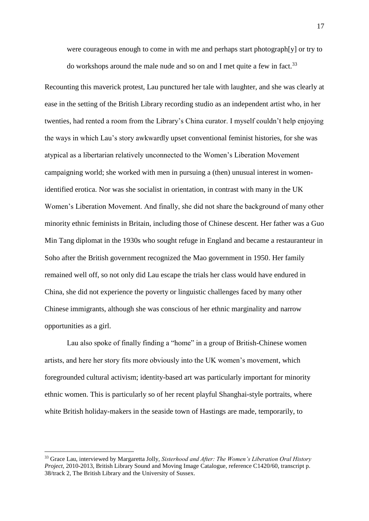were courageous enough to come in with me and perhaps start photograph[y] or try to do workshops around the male nude and so on and I met quite a few in fact.<sup>33</sup>

Recounting this maverick protest, Lau punctured her tale with laughter, and she was clearly at ease in the setting of the British Library recording studio as an independent artist who, in her twenties, had rented a room from the Library's China curator. I myself couldn't help enjoying the ways in which Lau's story awkwardly upset conventional feminist histories, for she was atypical as a libertarian relatively unconnected to the Women's Liberation Movement campaigning world; she worked with men in pursuing a (then) unusual interest in womenidentified erotica. Nor was she socialist in orientation, in contrast with many in the UK Women's Liberation Movement. And finally, she did not share the background of many other minority ethnic feminists in Britain, including those of Chinese descent. Her father was a Guo Min Tang diplomat in the 1930s who sought refuge in England and became a restauranteur in Soho after the British government recognized the Mao government in 1950. Her family remained well off, so not only did Lau escape the trials her class would have endured in China, she did not experience the poverty or linguistic challenges faced by many other Chinese immigrants, although she was conscious of her ethnic marginality and narrow opportunities as a girl.

Lau also spoke of finally finding a "home" in a group of British-Chinese women artists, and here her story fits more obviously into the UK women's movement, which foregrounded cultural activism; identity-based art was particularly important for minority ethnic women. This is particularly so of her recent playful Shanghai-style portraits, where white British holiday-makers in the seaside town of Hastings are made, temporarily, to

<sup>33</sup> Grace Lau, interviewed by Margaretta Jolly, *Sisterhood and After: The Women's Liberation Oral History Project*, 2010-2013, British Library Sound and Moving Image Catalogue, reference C1420/60, transcript p. 38/track 2, The British Library and the University of Sussex.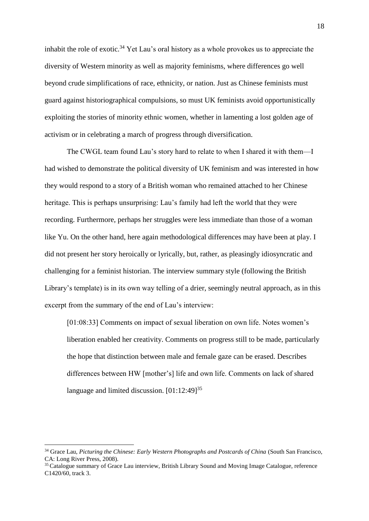inhabit the role of exotic.<sup>34</sup> Yet Lau's oral history as a whole provokes us to appreciate the diversity of Western minority as well as majority feminisms, where differences go well beyond crude simplifications of race, ethnicity, or nation. Just as Chinese feminists must guard against historiographical compulsions, so must UK feminists avoid opportunistically exploiting the stories of minority ethnic women, whether in lamenting a lost golden age of activism or in celebrating a march of progress through diversification.

The CWGL team found Lau's story hard to relate to when I shared it with them—I had wished to demonstrate the political diversity of UK feminism and was interested in how they would respond to a story of a British woman who remained attached to her Chinese heritage. This is perhaps unsurprising: Lau's family had left the world that they were recording. Furthermore, perhaps her struggles were less immediate than those of a woman like Yu. On the other hand, here again methodological differences may have been at play. I did not present her story heroically or lyrically, but, rather, as pleasingly idiosyncratic and challenging for a feminist historian. The interview summary style (following the British Library's template) is in its own way telling of a drier, seemingly neutral approach, as in this excerpt from the summary of the end of Lau's interview:

[01:08:33] Comments on impact of sexual liberation on own life. Notes women's liberation enabled her creativity. Comments on progress still to be made, particularly the hope that distinction between male and female gaze can be erased. Describes differences between HW [mother's] life and own life. Comments on lack of shared language and limited discussion.  $[01:12:49]^{35}$ 

<sup>34</sup> Grace Lau, *Picturing the Chinese: Early Western Photographs and Postcards of China* (South San Francisco, CA: Long River Press, 2008).

<sup>&</sup>lt;sup>35</sup> Catalogue summary of Grace Lau interview, British Library Sound and Moving Image Catalogue, reference C1420/60, track 3.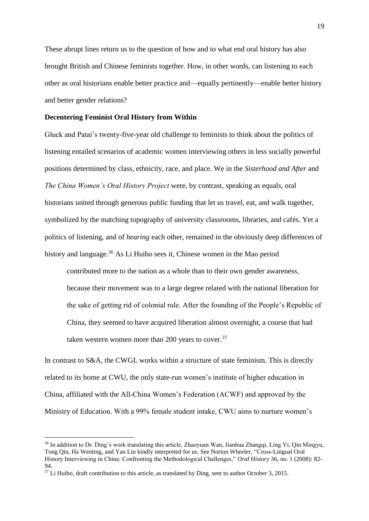These abrupt lines return us to the question of how and to what end oral history has also brought British and Chinese feminists together. How, in other words, can listening to each other as oral historians enable better practice and—equally pertinently—enable better history and better gender relations?

#### **Decentering Feminist Oral History from Within**

Gluck and Patai's twenty-five-year old challenge to feminists to think about the politics of listening entailed scenarios of academic women interviewing others in less socially powerful positions determined by class, ethnicity, race, and place. We in the *Sisterhood and After* and *The China Women's Oral History Project* were, by contrast, speaking as equals, oral historians united through generous public funding that let us travel, eat, and walk together, symbolized by the matching topography of university classrooms, libraries, and cafés. Yet a politics of listening, and of *hearing* each other, remained in the obviously deep differences of history and language.<sup>36</sup> As Li Huibo sees it, Chinese women in the Mao period

contributed more to the nation as a whole than to their own gender awareness, because their movement was to a large degree related with the national liberation for the sake of getting rid of colonial rule. After the founding of the People's Republic of China, they seemed to have acquired liberation almost overnight, a course that had taken western women more than 200 years to cover. $37$ 

In contrast to S&A, the CWGL works within a structure of state feminism. This is directly related to its home at CWU, the only state-run women's institute of higher education in China, affiliated with the All-China Women's Federation (ACWF) and approved by the Ministry of Education. With a 99% female student intake, CWU aims to nurture women's

<sup>&</sup>lt;sup>36</sup> In addition to Dr. Ding's work translating this article, Zhaoyuan Wan, Jianhua Zhangqi, Ling Yi, Qin Mingyu, Tong Qin, Ha Wenting, and Yan Lin kindly interpreted for us. See Norton Wheeler, "Cross-Lingual Oral History Interviewing in China: Confronting the Methodological Challenges," *Oral History* 36, no. 1 (2008): 82- 94.

<sup>&</sup>lt;sup>37</sup> Li Huibo, draft contribution to this article, as translated by Ding, sent to author October 3, 2015.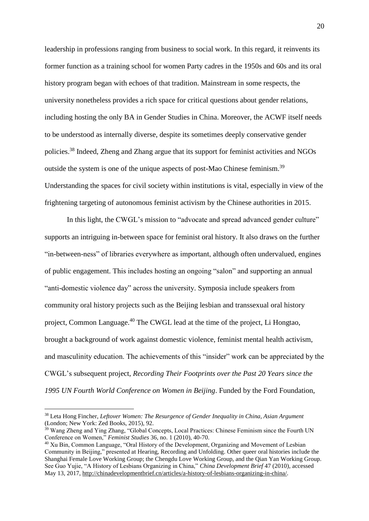leadership in professions ranging from business to social work. In this regard, it reinvents its former function as a training school for women Party cadres in the 1950s and 60s and its oral history program began with echoes of that tradition. Mainstream in some respects, the university nonetheless provides a rich space for critical questions about gender relations, including hosting the only BA in Gender Studies in China. Moreover, the ACWF itself needs to be understood as internally diverse, despite its sometimes deeply conservative gender policies.<sup>38</sup> Indeed, Zheng and Zhang argue that its support for feminist activities and NGOs outside the system is one of the unique aspects of post-Mao Chinese feminism.<sup>39</sup> Understanding the spaces for civil society within institutions is vital, especially in view of the frightening targeting of autonomous feminist activism by the Chinese authorities in 2015.

In this light, the CWGL's mission to "advocate and spread advanced gender culture" supports an intriguing in-between space for feminist oral history. It also draws on the further "in-between-ness" of libraries everywhere as important, although often undervalued, engines of public engagement. This includes hosting an ongoing "salon" and supporting an annual "anti-domestic violence day" across the university. Symposia include speakers from community oral history projects such as the Beijing lesbian and transsexual oral history project, Common Language.<sup>40</sup> The CWGL lead at the time of the project, Li Hongtao, brought a background of work against domestic violence, feminist mental health activism, and masculinity education. The achievements of this "insider" work can be appreciated by the CWGL's subsequent project, *Recording Their Footprints over the Past 20 Years since the 1995 UN Fourth World Conference on Women in Beijing*. Funded by the Ford Foundation,

<sup>38</sup> Leta Hong Fincher, *Leftover Women: The Resurgence of Gender Inequality in China, Asian Argument* (London; New York: Zed Books, 2015), 92.

<sup>&</sup>lt;sup>39</sup> Wang Zheng and Ying Zhang, "Global Concepts, Local Practices: Chinese Feminism since the Fourth UN Conference on Women," *Feminist Studies* 36, no. 1 (2010), 40-70.

<sup>40</sup> Xu Bin, Common Language, "Oral History of the Development, Organizing and Movement of Lesbian Community in Beijing," presented at Hearing, Recording and Unfolding. Other queer oral histories include the Shanghai Female Love Working Group; the Chengdu Love Working Group, and the Qian Yan Working Group. See Guo Yujie, "A History of Lesbians Organizing in China," *China Development Brief* 47 (2010), accessed May 13, 2017, [http://chinadevelopmentbrief.cn/articles/a-history-of-lesbians-organizing-in-china/.](http://chinadevelopmentbrief.cn/articles/a-history-of-lesbians-organizing-in-china/)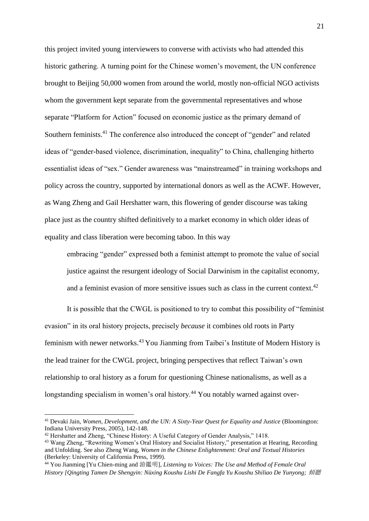this project invited young interviewers to converse with activists who had attended this historic gathering. A turning point for the Chinese women's movement, the UN conference brought to Beijing 50,000 women from around the world, mostly non-official NGO activists whom the government kept separate from the governmental representatives and whose separate "Platform for Action" focused on economic justice as the primary demand of Southern feminists.<sup>41</sup> The conference also introduced the concept of "gender" and related ideas of "gender-based violence, discrimination, inequality" to China, challenging hitherto essentialist ideas of "sex." Gender awareness was "mainstreamed" in training workshops and policy across the country, supported by international donors as well as the ACWF. However, as Wang Zheng and Gail Hershatter warn, this flowering of gender discourse was taking place just as the country shifted definitively to a market economy in which older ideas of equality and class liberation were becoming taboo. In this way

embracing "gender" expressed both a feminist attempt to promote the value of social justice against the resurgent ideology of Social Darwinism in the capitalist economy, and a feminist evasion of more sensitive issues such as class in the current context.<sup>42</sup>

It is possible that the CWGL is positioned to try to combat this possibility of "feminist evasion" in its oral history projects, precisely *because* it combines old roots in Party feminism with newer networks.<sup>43</sup> You Jianming from Taibei's Institute of Modern History is the lead trainer for the CWGL project, bringing perspectives that reflect Taiwan's own relationship to oral history as a forum for questioning Chinese nationalisms, as well as a longstanding specialism in women's oral history.<sup>44</sup> You notably warned against over-

<sup>41</sup> Devaki Jain, *Women, Development, and the UN: A Sixty-Year Quest for Equality and Justice* (Bloomington: Indiana University Press, 2005), 142-148.

<sup>42</sup> Hershatter and Zheng, "Chinese History: A Useful Category of Gender Analysis," 1418.

<sup>43</sup> Wang Zheng, "Rewriting Women's Oral History and Socialist History," presentation at Hearing, Recording and Unfolding. See also Zheng Wang, *Women in the Chinese Enlightenment: Oral and Textual Histories* (Berkeley: University of California Press, 1999).

<sup>44</sup> You Jianming [Yu Chien-ming and 游鑑明], *Listening to Voices: The Use and Method of Female Oral History [Qingting Tamen De Shengyin: Nüxing Koushu Lishi De Fangfa Yu Koushu Shiliao De Yunyong;* 傾聽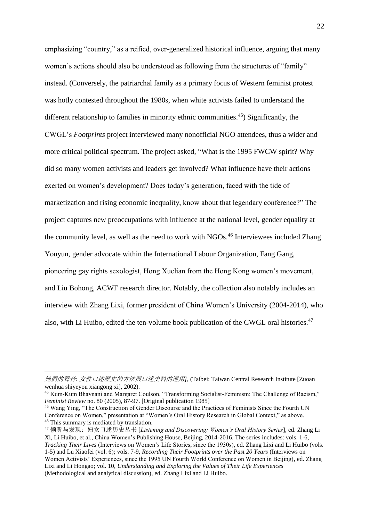emphasizing "country," as a reified, over-generalized historical influence, arguing that many women's actions should also be understood as following from the structures of "family" instead. (Conversely, the patriarchal family as a primary focus of Western feminist protest was hotly contested throughout the 1980s, when white activists failed to understand the different relationship to families in minority ethnic communities.<sup>45</sup>) Significantly, the CWGL's *Footprints* project interviewed many nonofficial NGO attendees, thus a wider and more critical political spectrum. The project asked, "What is the 1995 FWCW spirit? Why did so many women activists and leaders get involved? What influence have their actions exerted on women's development? Does today's generation, faced with the tide of marketization and rising economic inequality, know about that legendary conference?" The project captures new preoccupations with influence at the national level, gender equality at the community level, as well as the need to work with NGOs.<sup>46</sup> Interviewees included Zhang Youyun, gender advocate within the International Labour Organization, Fang Gang, pioneering gay rights sexologist, Hong Xuelian from the Hong Kong women's movement, and Liu Bohong, ACWF research director. Notably, the collection also notably includes an interview with Zhang Lixi, former president of China Women's University (2004-2014), who also, with Li Huibo, edited the ten-volume book publication of the CWGL oral histories.<sup>47</sup>

她們的聲音*:* 女性口述歷史的方法與口述史料的運用*],* (Taibei: Taiwan Central Research Institute [Zuoan wenhua shiyeyou xiangong xi], 2002).

<sup>45</sup> Kum-Kum Bhavnani and Margaret Coulson, "Transforming Socialist-Feminism: The Challenge of Racism," *Feminist Review* no. 80 (2005), 87-97. [Original publication 1985]

<sup>46</sup> Wang Ying, "The Construction of Gender Discourse and the Practices of Feminists Since the Fourth UN Conference on Women," presentation at "Women's Oral History Research in Global Context," as above. <sup>46</sup> This summary is mediated by translation.

<sup>47</sup> 倾听与发现:妇女口述历史丛书 [*Listening and Discovering: Women's Oral History Series*], ed. Zhang Li Xi, Li Huibo, et al., China Women's Publishing House, Beijing, 2014-2016. The series includes: vols. 1-6, *Tracking Their Lives* (Interviews on Women's Life Stories, since the 1930s), ed. Zhang Lixi and Li Huibo (vols. 1-5) and Lu Xiaofei (vol. 6); vols. 7-9, *Recording Their Footprints over the Past 20 Years* (Interviews on Women Activists' Experiences, since the 1995 UN Fourth World Conference on Women in Beijing), ed. Zhang Lixi and Li Hongao; vol. 10, *Understanding and Exploring the Values of Their Life Experiences* (Methodological and analytical discussion), ed. Zhang Lixi and Li Huibo.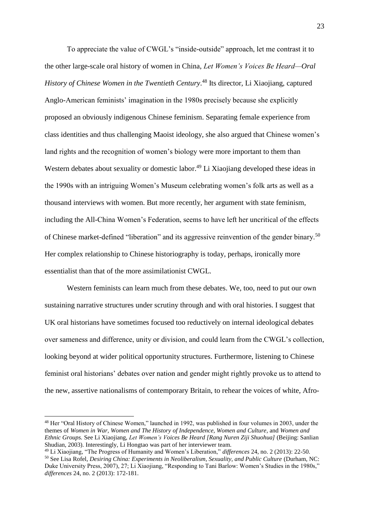To appreciate the value of CWGL's "inside-outside" approach, let me contrast it to the other large-scale oral history of women in China, *Let Women's Voices Be Heard—Oral History of Chinese Women in the Twentieth Century*. <sup>48</sup> Its director, Li Xiaojiang, captured Anglo-American feminists' imagination in the 1980s precisely because she explicitly proposed an obviously indigenous Chinese feminism. Separating female experience from class identities and thus challenging Maoist ideology, she also argued that Chinese women's land rights and the recognition of women's biology were more important to them than Western debates about sexuality or domestic labor.<sup>49</sup> Li Xiaojiang developed these ideas in the 1990s with an intriguing Women's Museum celebrating women's folk arts as well as a thousand interviews with women. But more recently, her argument with state feminism, including the All-China Women's Federation, seems to have left her uncritical of the effects of Chinese market-defined "liberation" and its aggressive reinvention of the gender binary.<sup>50</sup> Her complex relationship to Chinese historiography is today, perhaps, ironically more essentialist than that of the more assimilationist CWGL.

Western feminists can learn much from these debates. We, too, need to put our own sustaining narrative structures under scrutiny through and with oral histories. I suggest that UK oral historians have sometimes focused too reductively on internal ideological debates over sameness and difference, unity or division, and could learn from the CWGL's collection, looking beyond at wider political opportunity structures. Furthermore, listening to Chinese feminist oral historians' debates over nation and gender might rightly provoke us to attend to the new, assertive nationalisms of contemporary Britain, to rehear the voices of white, Afro-

<sup>48</sup> Her "Oral History of Chinese Women," launched in 1992, was published in four volumes in 2003, under the themes of *Women in War, Women and The History of Independence, Women and Culture,* and *Women and Ethnic Groups.* See Li Xiaojiang, *Let Women's Voices Be Heard [Rang Nuren Ziji Shuohua]* (Beijing: Sanlian Shudian, 2003). Interestingly, Li Hongtao was part of her interviewer team.

<sup>49</sup> Li Xiaojiang, "The Progress of Humanity and Women's Liberation," *differences* 24, no. 2 (2013): 22-50. <sup>50</sup> See Lisa Rofel, *Desiring China: Experiments in Neoliberalism, Sexuality, and Public Culture* (Durham, NC: Duke University Press, 2007), 27; Li Xiaojiang, "Responding to Tani Barlow: Women's Studies in the 1980s," *differences* 24, no. 2 (2013): 172-181.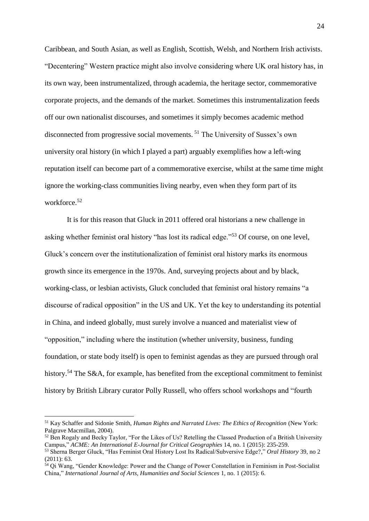Caribbean, and South Asian, as well as English, Scottish, Welsh, and Northern Irish activists. "Decentering" Western practice might also involve considering where UK oral history has, in its own way, been instrumentalized, through academia, the heritage sector, commemorative corporate projects, and the demands of the market. Sometimes this instrumentalization feeds off our own nationalist discourses, and sometimes it simply becomes academic method disconnected from progressive social movements. <sup>51</sup> The University of Sussex's own university oral history (in which I played a part) arguably exemplifies how a left-wing reputation itself can become part of a commemorative exercise, whilst at the same time might ignore the working-class communities living nearby, even when they form part of its workforce.<sup>52</sup>

It is for this reason that Gluck in 2011 offered oral historians a new challenge in asking whether feminist oral history "has lost its radical edge."<sup>53</sup> Of course, on one level, Gluck's concern over the institutionalization of feminist oral history marks its enormous growth since its emergence in the 1970s. And, surveying projects about and by black, working-class, or lesbian activists, Gluck concluded that feminist oral history remains "a discourse of radical opposition" in the US and UK. Yet the key to understanding its potential in China, and indeed globally, must surely involve a nuanced and materialist view of "opposition," including where the institution (whether university, business, funding foundation, or state body itself) is open to feminist agendas as they are pursued through oral history.<sup>54</sup> The S&A, for example, has benefited from the exceptional commitment to feminist history by British Library curator Polly Russell, who offers school workshops and "fourth

<sup>51</sup> Kay Schaffer and Sidonie Smith, *Human Rights and Narrated Lives: The Ethics of Recognition* (New York: Palgrave Macmillan, 2004).

<sup>52</sup> Ben Rogaly and Becky Taylor, "For the Likes of Us? Retelling the Classed Production of a British University Campus," *ACME: An International E-Journal for Critical Geographies* 14, no. 1 (2015): 235-259.

<sup>53</sup> Sherna Berger Gluck, "Has Feminist Oral History Lost Its Radical/Subversive Edge?," *Oral History* 39, no 2 (2011): 63.

<sup>54</sup> Qi Wang, "Gender Knowledge: Power and the Change of Power Constellation in Feminism in Post-Socialist China," *International Journal of Arts, Humanities and Social Sciences* 1, no. 1 (2015): 6.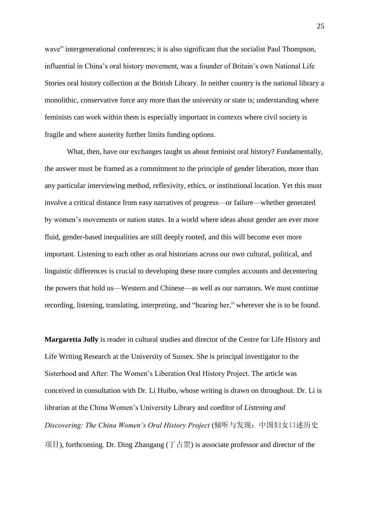wave" intergenerational conferences; it is also significant that the socialist Paul Thompson, influential in China's oral history movement, was a founder of Britain's own National Life Stories oral history collection at the British Library. In neither country is the national library a monolithic, conservative force any more than the university or state is; understanding where feminists can work within them is especially important in contexts where civil society is fragile and where austerity further limits funding options.

What, then, have our exchanges taught us about feminist oral history? Fundamentally, the answer must be framed as a commitment to the principle of gender liberation, more than any particular interviewing method, reflexivity, ethics, or institutional location. Yet this must involve a critical distance from easy narratives of progress—or failure—whether generated by women's movements or nation states. In a world where ideas about gender are ever more fluid, gender-based inequalities are still deeply rooted, and this will become ever more important. Listening to each other as oral historians across our own cultural, political, and linguistic differences is crucial to developing these more complex accounts and decentering the powers that hold us—Western and Chinese—as well as our narrators. We must continue recording, listening, translating, interpreting, and "hearing her," wherever she is to be found.

**Margaretta Jolly** is reader in cultural studies and director of the Centre for Life History and Life Writing Research at the University of Sussex. She is principal investigator to the Sisterhood and After: The Women's Liberation Oral History Project. The article was conceived in consultation with Dr. Li Huibo, whose writing is drawn on throughout. Dr. Li is librarian at the China Women's University Library and coeditor of *Listening and Discovering: The China Women's Oral History Project* (倾听与发现:中国妇女口述历史 项目), forthcoming. Dr. Ding Zhangang  $(\top \text{H})$  is associate professor and director of the